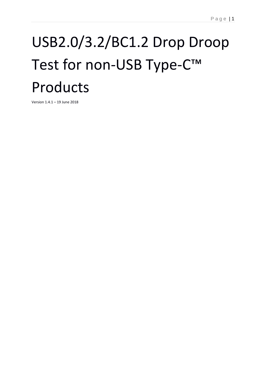# USB2.0/3.2/BC1.2 Drop Droop Test for non-USB Type-C™ Products

Version 1.4.1 – 19 June 2018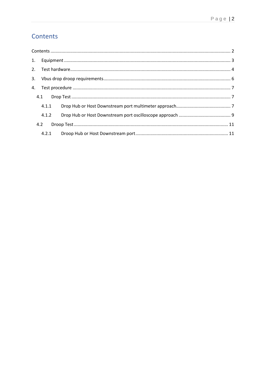# <span id="page-1-0"></span>Contents

| 4.1.1 |  |
|-------|--|
| 4.1.2 |  |
| 4.2   |  |
|       |  |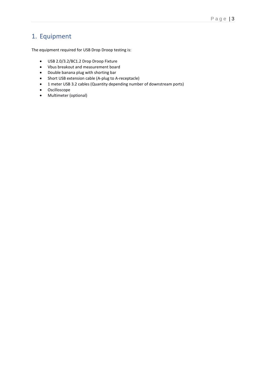# <span id="page-2-0"></span>1. Equipment

The equipment required for USB Drop Droop testing is:

- USB 2.0/3.2/BC1.2 Drop Droop Fixture
- Vbus breakout and measurement board
- Double banana plug with shorting bar
- Short USB extension cable (A-plug to A-receptacle)
- 1 meter USB 3.2 cables (Quantity depending number of downstream ports)
- Oscilloscope
- Multimeter (optional)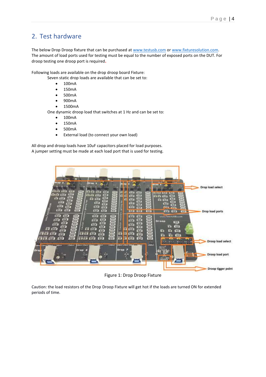## <span id="page-3-0"></span>2. Test hardware

The below Drop Droop fixture that can be purchased at [www.testusb.com](http://www.testusb.com/) or [www.fixturesolution.com.](http://www.fixturesolution.com/) The amount of load ports used for testing must be equal to the number of exposed ports on the DUT. For droop testing one droop port is required**.**

Following loads are available on the drop droop board Fixture:

Seven static drop loads are available that can be set to:

- 100mA
- 150mA
- 500mA
- 900mA
- 1500mA

One dynamic droop load that switches at 1 Hz and can be set to:

- 100mA
- 150mA
- 500mA
- External load (to connect your own load)

All drop and droop loads have 10uF capacitors placed for load purposes. A jumper setting must be made at each load port that is used for testing.



Figure 1: Drop Droop Fixture

Caution: the load resistors of the Drop Droop Fixture will get hot if the loads are turned ON for extended periods of time.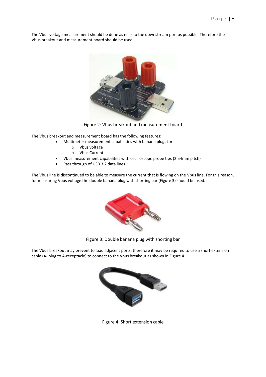The Vbus voltage measurement should be done as near to the downstream port as possible. Therefore the Vbus breakout and measurement board should be used.



Figure 2: Vbus breakout and measurement board

The Vbus breakout and measurement board has the following features:

- Multimeter measurement capabilities with banana plugs for:
	- o Vbus voltage
	- o Vbus Current
- Vbus measurement capabilities with oscilloscope probe tips (2.54mm pitch)
- Pass through of USB 3.2 data lines

The Vbus line is discontinued to be able to measure the current that is flowing on the Vbus line. For this reason, for measuring Vbus voltage the double banana plug with shorting bar (Figure 3) should be used.



Figure 3: Double banana plug with shorting bar

The Vbus breakout may prevent to load adjacent ports, therefore it may be required to use a short extension cable (A- plug to A-receptacle) to connect to the Vbus breakout as shown in Figure 4.



Figure 4: Short extension cable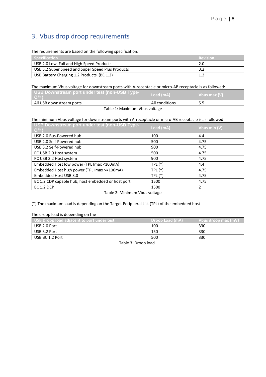# <span id="page-5-0"></span>3. Vbus drop droop requirements

The requirements are based on the following specification:

| Specification                                     | l Revision |
|---------------------------------------------------|------------|
| USB 2.0 Low, Full and High Speed Products         |            |
| USB 3.2 Super Speed and Super Speed Plus Products |            |
| USB Battery Charging 1.2 Products (BC 1.2)        |            |

#### The maximum Vbus voltage for downstream ports with A-receptacle or micro-AB receptacle is as followed:

| All USB downstream ports                                                    | All conditions |              |
|-----------------------------------------------------------------------------|----------------|--------------|
| USB Downstream port under test (non-USB Type-<br>$\mathsf{C}^{\mathsf{TM}}$ | Load (mA)      | Vbus max (V) |

Table 1: Maximum Vbus voltage

#### The minimum Vbus voltage for downstream ports with A-receptacle or micro-AB receptacle is as followed:

| USB Downstream port under test (non-USB Type-<br>$C^{TM}$ | Load (mA) | Vbus min (V) |
|-----------------------------------------------------------|-----------|--------------|
| USB 2.0 Bus-Powered hub                                   | 100       | 4.4          |
| USB 2.0 Self-Powered hub                                  | 500       | 4.75         |
| USB 3.2 Self-Powered hub                                  | 900       | 4.75         |
| PC USB 2.0 Host system                                    | 500       | 4.75         |
| PC USB 3.2 Host system                                    | 900       | 4.75         |
| Embedded Host low power (TPL Imax <100mA)                 | $TPL (*)$ | 4.4          |
| Embedded Host high power (TPL Imax >=100mA)               | $TPL (*)$ | 4.75         |
| Embedded Host USB 3.0                                     | $TPL (*)$ | 4.75         |
| BC 1.2 CDP capable hub, host embedded or host port        | 1500      | 4.75         |
| <b>BC 1.2 DCP</b>                                         | 1500      | 2            |

#### Table 2: Minimum Vbus voltage

#### (\*) The maximum load is depending on the Target Peripheral List (TPL) of the embedded host

The droop load is depending on the

| USB Droop load adjacent to port under test, | <b>Droop Load (mA)</b> | Vbus droop max (mV |
|---------------------------------------------|------------------------|--------------------|
| USB 2.0 Port                                | 100                    | 330                |
| USB 3.2 Port                                | 150                    | 330                |
| USB BC 1.2 Port                             | 500                    | 330                |

Table 3: Droop load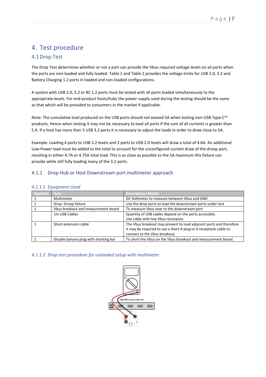## <span id="page-6-0"></span>4. Test procedure

## <span id="page-6-1"></span>4.1Drop Test

The Drop Test determines whether or not a port can provide the Vbus required voltage levels on all ports when the ports are non-loaded and fully loaded. Table 1 and Table 2 provides the voltage limits for USB 2.0, 3.2 and Battery Charging 1.2 ports in loaded and non-loaded configurations.

A system with USB 2.0, 3.2 or BC 1.2 ports must be tested with all ports loaded simultaneously to the appropriate levels. For end-product hosts/hubs the power supply used during the testing should be the same as that which will be provided to consumers in the market if applicable.

Note: The cumulative load produced on the USB ports should not exceed 5A when testing non-USB Type-C™ products. Hence when testing it may not be necessary to load all ports if the sum of all currents is greater than 5 A. If a host has more than 5 USB 3.2 ports it is necessary to adjust the loads in order to draw close to 5A.

Example: Loading 4 ports to USB 3.2 levels and 2 ports to USB 2.0 levels will draw a total of 4.6A. An additional Low-Power load must be added to the total to account for the unconfigured current draw of the droop port, resulting in either 4.7A or 4.75A total load. This is as close as possible to the 5A maximum this fixture can provide while still fully loading many of the 3.2 ports.

## <span id="page-6-2"></span>4.1.1 Drop Hub or Host Downstream port multimeter approach

#### *4.1.1.1 Equipment Used*

| Quantity | ltem <b>I</b>                        | <b>Description/Model</b>                                           |
|----------|--------------------------------------|--------------------------------------------------------------------|
|          | Multimeter                           | DC Voltmeter to measure between Vbus and GND                       |
|          | Drop Droop fixture                   | Use the drop ports to load the downstream ports under test         |
|          | Vbus breakout and measurement board  | To measure Vbus near to the downstream port                        |
|          | 1m USB Cables                        | Quantity of USB cables depend on the ports accessible.             |
|          |                                      | Use cable with low Vbus resistance.                                |
|          | Short extension cable                | The Vbus breakout may prevent to load adjacent ports and therefore |
|          |                                      | it may be required to use a short A plug to A receptacle cable to  |
|          |                                      | connect to the Vbus breakout.                                      |
|          | Double banana plug with shorting bar | To short the Vbus on the Vbus breakout and measurement board.      |

#### *4.1.1.2 Drop test procedure for unloaded setup with multimeter*

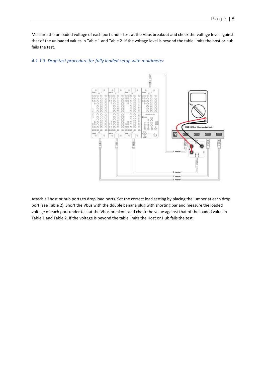Measure the unloaded voltage of each port under test at the Vbus breakout and check the voltage level against that of the unloaded values in Table 1 and Table 2. If the voltage level is beyond the table limits the host or hub fails the test.



#### *4.1.1.3 Drop test procedure for fully loaded setup with multimeter*

Attach all host or hub ports to drop load ports. Set the correct load setting by placing the jumper at each drop port (see Table 2). Short the Vbus with the double banana plug with shorting bar and measure the loaded voltage of each port under test at the Vbus breakout and check the value against that of the loaded value in Table 1 and Table 2. If the voltage is beyond the table limits the Host or Hub fails the test.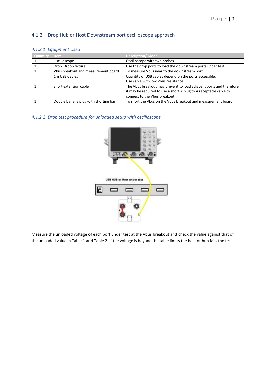## <span id="page-8-0"></span>4.1.2 Drop Hub or Host Downstream port oscilloscope approach

#### *4.1.2.1 Equipment Used*

| Quantity | ltem.                                | <b>Description/ Model</b>                                                                                                                                                |
|----------|--------------------------------------|--------------------------------------------------------------------------------------------------------------------------------------------------------------------------|
|          | Oscilloscope                         | Oscilloscope with two probes                                                                                                                                             |
|          | Drop Droop fixture                   | Use the drop ports to load the downstream ports under test                                                                                                               |
|          | Vbus breakout and measurement board  | To measure Vbus near to the downstream port                                                                                                                              |
|          | 1m USB Cables                        | Quantity of USB cables depend on the ports accessible.<br>Use cable with low Vbus resistance.                                                                            |
|          | Short extension cable                | The Vbus breakout may prevent to load adjacent ports and therefore<br>it may be required to use a short A plug to A receptacle cable to<br>connect to the Vbus breakout. |
|          | Double banana plug with shorting bar | To short the Vbus on the Vbus breakout and measurement board.                                                                                                            |

#### *4.1.2.2 Drop test procedure for unloaded setup with oscilloscope*



Measure the unloaded voltage of each port under test at the Vbus breakout and check the value against that of the unloaded value in Table 1 and Table 2. If the voltage is beyond the table limits the host or hub fails the test.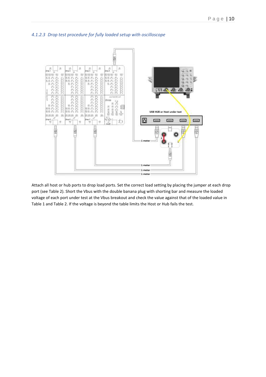



Attach all host or hub ports to drop load ports. Set the correct load setting by placing the jumper at each drop port (see Table 2). Short the Vbus with the double banana plug with shorting bar and measure the loaded voltage of each port under test at the Vbus breakout and check the value against that of the loaded value in Table 1 and Table 2. If the voltage is beyond the table limits the Host or Hub fails the test.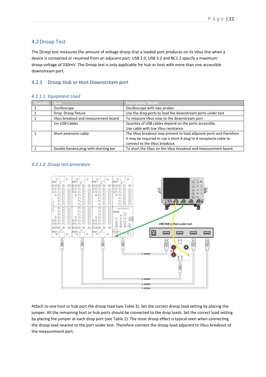## <span id="page-10-0"></span>4.2Droop Test

The Droop test measures the amount of voltage droop that a loaded port produces on its Vbus line when a device is connected or resumed from an adjacent port. USB 2.0, USB 3.2 and BC1.2 specify a maximum droop voltage of 330mV. The Droop test is only applicable for hub or host with more than one accessible downstream port.

#### <span id="page-10-1"></span>4.2.1 Droop Hub or Host Downstream port

#### *4.2.1.1 Equipment Used*

| Jantity | <b>Item</b>                          | Description/ Model                                                 |
|---------|--------------------------------------|--------------------------------------------------------------------|
|         | Oscilloscope                         | Oscilloscope with two probes                                       |
|         | Drop Droop fixture                   | Use the drop ports to load the downstream ports under test         |
|         | Vbus breakout and measurement board  | To measure Vbus near to the downstream port                        |
|         | 1m USB Cables                        | Quantity of USB cables depend on the ports accessible.             |
|         |                                      | Use cable with low Vbus resistance.                                |
|         | Short extension cable                | The Vbus breakout may prevent to load adjacent ports and therefore |
|         |                                      | it may be required to use a short A plug to A receptacle cable to  |
|         |                                      | connect to the Vbus breakout.                                      |
|         | Double banana plug with shorting bar | To short the Vbus on the Vbus breakout and measurement board.      |

#### *4.2.1.2 Droop test procedure*



Attach to one host or hub port the droop load (see Table 3). Set the correct droop load setting by placing the jumper. All the remaining host or hub ports should be connected to the drop loads. Set the correct load setting by placing the jumper at each drop port (see Table 2). The most droop effect is typical seen when connecting the droop load nearest to the port under test. Therefore connect the droop load adjacent to Vbus breakout of the measurement port.